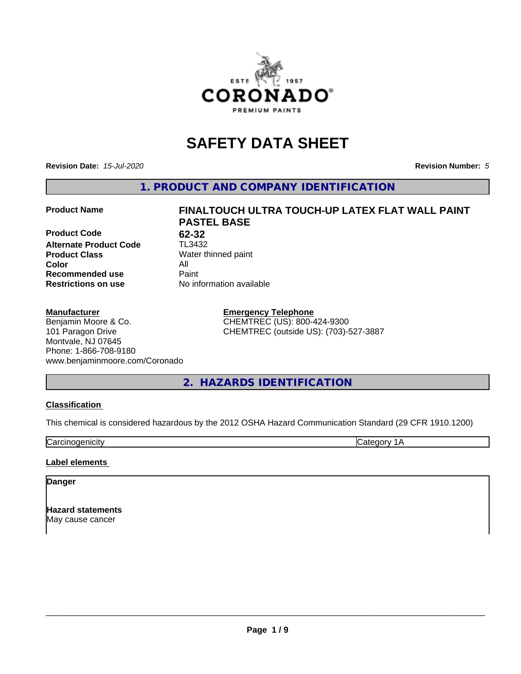

# **SAFETY DATA SHEET**

**Revision Date:** *15-Jul-2020* **Revision Number:** *5*

**1. PRODUCT AND COMPANY IDENTIFICATION**

**Product Code** 62-32<br>**Alternate Product Code** TL3432 **Alternate Product Code Product Class** Water thinned paint<br> **Color** All **Color** All **Recommended use Caint Restrictions on use** No information available

# **Manufacturer**

Benjamin Moore & Co. 101 Paragon Drive Montvale, NJ 07645 Phone: 1-866-708-9180 www.benjaminmoore.com/Coronado

# **Product Name FINALTOUCH ULTRA TOUCH-UP LATEX FLAT WALL PAINT PASTEL BASE**

**Emergency Telephone** CHEMTREC (US): 800-424-9300 CHEMTREC (outside US): (703)-527-3887

# **2. HAZARDS IDENTIFICATION**

# **Classification**

This chemical is considered hazardous by the 2012 OSHA Hazard Communication Standard (29 CFR 1910.1200)

Carcinogenicity **Category 1A** 

# **Label elements**

# **Danger**

**Hazard statements** May cause cancer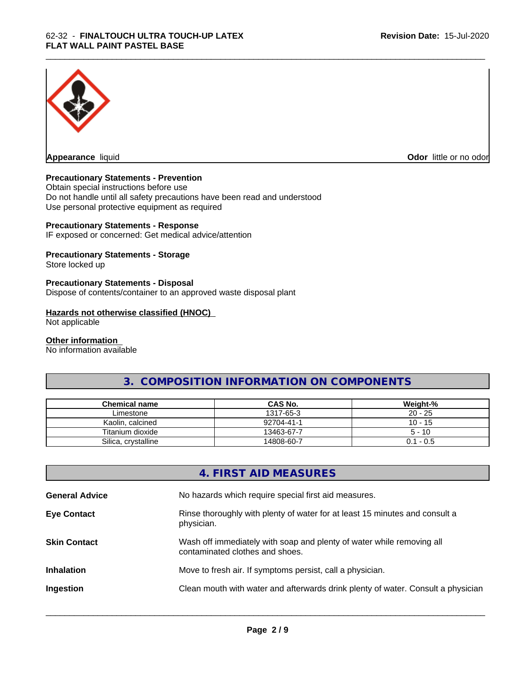

**Appearance** liquid

**Odor** little or no odor

# **Precautionary Statements - Prevention**

Obtain special instructions before use Do not handle until all safety precautions have been read and understood Use personal protective equipment as required

# **Precautionary Statements - Response**

IF exposed or concerned: Get medical advice/attention

# **Precautionary Statements - Storage**

Store locked up

# **Precautionary Statements - Disposal**

Dispose of contents/container to an approved waste disposal plant

### **Hazards not otherwise classified (HNOC)**

Not applicable

#### **Other information**

No information available

# **3. COMPOSITION INFORMATION ON COMPONENTS**

\_\_\_\_\_\_\_\_\_\_\_\_\_\_\_\_\_\_\_\_\_\_\_\_\_\_\_\_\_\_\_\_\_\_\_\_\_\_\_\_\_\_\_\_\_\_\_\_\_\_\_\_\_\_\_\_\_\_\_\_\_\_\_\_\_\_\_\_\_\_\_\_\_\_\_\_\_\_\_\_\_\_\_\_\_\_\_\_\_\_\_\_\_

| Chemical name       | <b>CAS No.</b> | Weight-%    |
|---------------------|----------------|-------------|
| Limestone           | 1317-65-3      | $20 - 25$   |
| Kaolin, calcined    | 92704-41-1     | $10 - 15$   |
| Titanium dioxide    | 13463-67-7     | $5 - 10$    |
| Silica, crystalline | 14808-60-7     | $0.1 - 0.5$ |

# **4. FIRST AID MEASURES**

| <b>General Advice</b> | No hazards which require special first aid measures.                                                     |
|-----------------------|----------------------------------------------------------------------------------------------------------|
| <b>Eye Contact</b>    | Rinse thoroughly with plenty of water for at least 15 minutes and consult a<br>physician.                |
| <b>Skin Contact</b>   | Wash off immediately with soap and plenty of water while removing all<br>contaminated clothes and shoes. |
| <b>Inhalation</b>     | Move to fresh air. If symptoms persist, call a physician.                                                |
| Ingestion             | Clean mouth with water and afterwards drink plenty of water. Consult a physician                         |
|                       |                                                                                                          |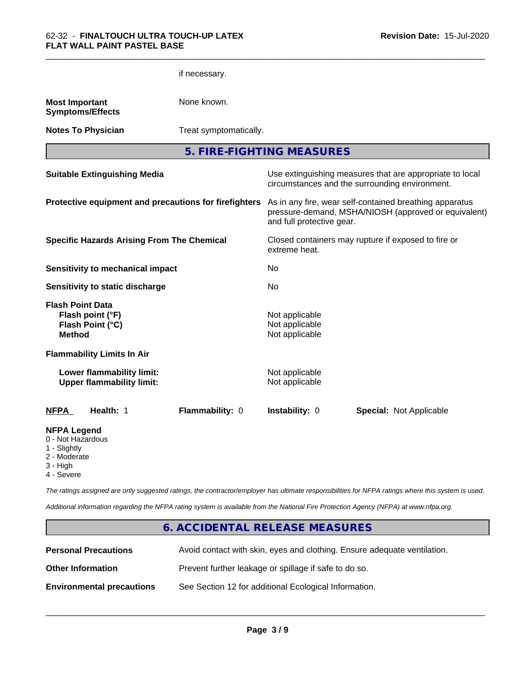|                                                                                     |                                                               | if necessary.                                         |                                                    |                                                                                                                 |
|-------------------------------------------------------------------------------------|---------------------------------------------------------------|-------------------------------------------------------|----------------------------------------------------|-----------------------------------------------------------------------------------------------------------------|
| <b>Most Important</b>                                                               | <b>Symptoms/Effects</b>                                       | None known.                                           |                                                    |                                                                                                                 |
|                                                                                     | <b>Notes To Physician</b>                                     | Treat symptomatically.                                |                                                    |                                                                                                                 |
|                                                                                     |                                                               |                                                       | 5. FIRE-FIGHTING MEASURES                          |                                                                                                                 |
|                                                                                     | <b>Suitable Extinguishing Media</b>                           |                                                       |                                                    | Use extinguishing measures that are appropriate to local<br>circumstances and the surrounding environment.      |
|                                                                                     |                                                               | Protective equipment and precautions for firefighters | and full protective gear.                          | As in any fire, wear self-contained breathing apparatus<br>pressure-demand, MSHA/NIOSH (approved or equivalent) |
|                                                                                     | <b>Specific Hazards Arising From The Chemical</b>             |                                                       | extreme heat.                                      | Closed containers may rupture if exposed to fire or                                                             |
|                                                                                     | <b>Sensitivity to mechanical impact</b>                       |                                                       | No                                                 |                                                                                                                 |
|                                                                                     | Sensitivity to static discharge                               |                                                       | No                                                 |                                                                                                                 |
| <b>Flash Point Data</b><br><b>Method</b>                                            | Flash point (°F)<br>Flash Point (°C)                          |                                                       | Not applicable<br>Not applicable<br>Not applicable |                                                                                                                 |
|                                                                                     | <b>Flammability Limits In Air</b>                             |                                                       |                                                    |                                                                                                                 |
|                                                                                     | Lower flammability limit:<br><b>Upper flammability limit:</b> |                                                       | Not applicable<br>Not applicable                   |                                                                                                                 |
| <b>NFPA</b>                                                                         | Health: 1                                                     | Flammability: 0                                       | Instability: 0                                     | <b>Special: Not Applicable</b>                                                                                  |
| <b>NFPA Legend</b><br>0 - Not Hazardous<br>1 - Slightly<br>2 - Moderate<br>3 - High |                                                               |                                                       |                                                    |                                                                                                                 |

\_\_\_\_\_\_\_\_\_\_\_\_\_\_\_\_\_\_\_\_\_\_\_\_\_\_\_\_\_\_\_\_\_\_\_\_\_\_\_\_\_\_\_\_\_\_\_\_\_\_\_\_\_\_\_\_\_\_\_\_\_\_\_\_\_\_\_\_\_\_\_\_\_\_\_\_\_\_\_\_\_\_\_\_\_\_\_\_\_\_\_\_\_

4 - Severe

*The ratings assigned are only suggested ratings, the contractor/employer has ultimate responsibilities for NFPA ratings where this system is used.*

*Additional information regarding the NFPA rating system is available from the National Fire Protection Agency (NFPA) at www.nfpa.org.*

# **6. ACCIDENTAL RELEASE MEASURES**

| <b>Personal Precautions</b>      | Avoid contact with skin, eyes and clothing. Ensure adequate ventilation. |
|----------------------------------|--------------------------------------------------------------------------|
| <b>Other Information</b>         | Prevent further leakage or spillage if safe to do so.                    |
| <b>Environmental precautions</b> | See Section 12 for additional Ecological Information.                    |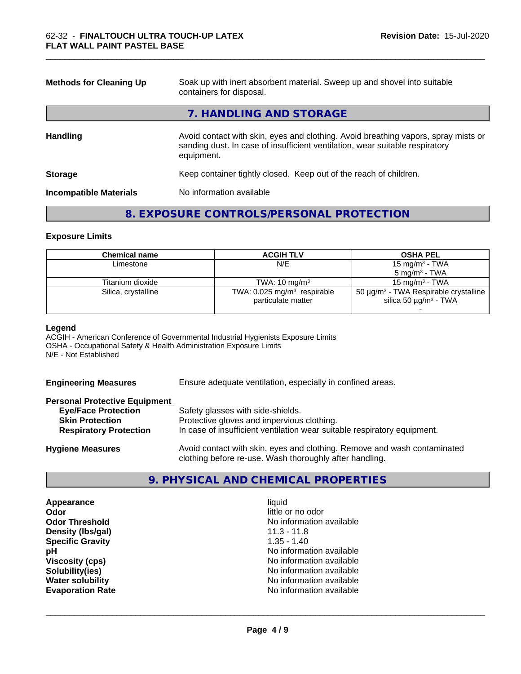| <b>Methods for Cleaning Up</b> | Soak up with inert absorbent material. Sweep up and shovel into suitable<br>containers for disposal.                                                                             |
|--------------------------------|----------------------------------------------------------------------------------------------------------------------------------------------------------------------------------|
|                                | 7. HANDLING AND STORAGE                                                                                                                                                          |
| <b>Handling</b>                | Avoid contact with skin, eyes and clothing. Avoid breathing vapors, spray mists or<br>sanding dust. In case of insufficient ventilation, wear suitable respiratory<br>equipment. |
| <b>Storage</b>                 | Keep container tightly closed. Keep out of the reach of children.                                                                                                                |
| <b>Incompatible Materials</b>  | No information available                                                                                                                                                         |

\_\_\_\_\_\_\_\_\_\_\_\_\_\_\_\_\_\_\_\_\_\_\_\_\_\_\_\_\_\_\_\_\_\_\_\_\_\_\_\_\_\_\_\_\_\_\_\_\_\_\_\_\_\_\_\_\_\_\_\_\_\_\_\_\_\_\_\_\_\_\_\_\_\_\_\_\_\_\_\_\_\_\_\_\_\_\_\_\_\_\_\_\_

# **8. EXPOSURE CONTROLS/PERSONAL PROTECTION**

# **Exposure Limits**

| Chemical name       | <b>ACGIH TLV</b>                                                | <b>OSHA PEL</b>                                                                                  |
|---------------------|-----------------------------------------------------------------|--------------------------------------------------------------------------------------------------|
| Limestone           | N/E                                                             | 15 mg/m $3$ - TWA                                                                                |
|                     |                                                                 | $5 \text{ mg/m}^3$ - TWA                                                                         |
| Titanium dioxide    | TWA: $10 \text{ mg/m}^3$                                        | 15 mg/m $3$ - TWA                                                                                |
| Silica, crystalline | TWA: $0.025$ mg/m <sup>3</sup> respirable<br>particulate matter | 50 $\mu$ g/m <sup>3</sup> - TWA Respirable crystalline<br>silica 50 $\mu$ g/m <sup>3</sup> - TWA |

#### **Legend**

ACGIH - American Conference of Governmental Industrial Hygienists Exposure Limits OSHA - Occupational Safety & Health Administration Exposure Limits N/E - Not Established

**Engineering Measures** Ensure adequate ventilation, especially in confined areas.

# **Personal Protective Equipment**

| <b>Eye/Face Protection</b>    | Safety glasses with side-shields.                                        |
|-------------------------------|--------------------------------------------------------------------------|
| <b>Skin Protection</b>        | Protective gloves and impervious clothing.                               |
| <b>Respiratory Protection</b> | In case of insufficient ventilation wear suitable respiratory equipment. |
| <b>Hygiene Measures</b>       | Avoid contact with skin, eyes and clothing. Remove and wash contaminated |

# **9. PHYSICAL AND CHEMICAL PROPERTIES**

clothing before re-use. Wash thoroughly after handling.

**Appearance** liquid **Odor** little or no odor **Density (lbs/gal)** 11.3 - 11.8 **Specific Gravity** 1.35 - 1.40

**Odor Threshold** No information available **pH** No information available **Viscosity (cps)** <br> **Viscosity (cps)** No information available<br>
No information available<br>
No information available **Solubility(ies)**<br> **No information available**<br> **Water solubility**<br> **Water solubility No information available Evaporation Rate Evaporation Rate No information available**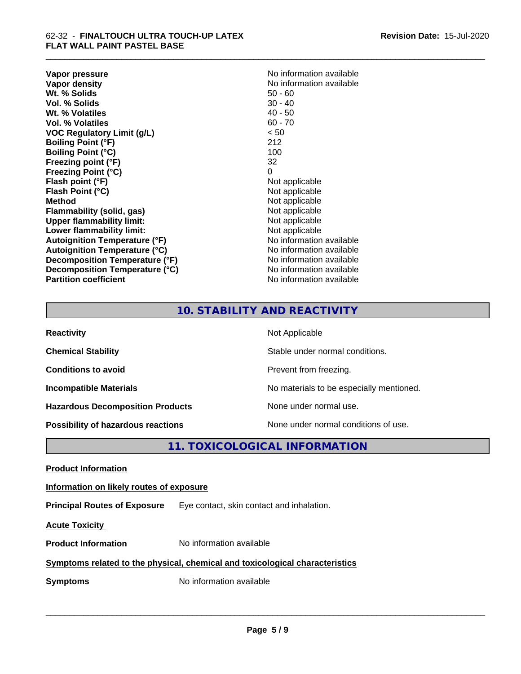**Vapor pressure** No information available<br> **Vapor density**<br> **Vapor density Wt. % Solids** 50 - 60<br> **Vol. % Solids** 50 - 40<br> **Vol. % Solids** 50 - 40 **Vol. % Solids** 30 - 40<br> **Wt. % Volatiles** 30 - 40 - 50 **Wt. % Volatiles Vol. % Volatiles** 60 - 70 **VOC Regulatory Limit (g/L)** < 50 **Boiling Point (°F)** 212 **Boiling Point (°C)** 100 **Freezing point (°F)** 32 **Freezing Point (°C)** 0 **Flash point (°F)** Not applicable **Flash Point (°C)**<br> **Method** Not applicable<br>
Not applicable<br>
Not applicable **Flammability** (solid, gas) **Upper flammability limit:**<br> **Lower flammability limit:** Not applicable Not applicable **Lower flammability limit:**<br> **Autoignition Temperature (°F)** Not applicable havailable **Autoignition Temperature (°F) Autoignition Temperature (°C)**<br> **Decomposition Temperature (°F)** No information available **Decomposition Temperature (°F) Decomposition Temperature (°C)** No information available **Partition coefficient Contract Community No information available** 

**No information available**<br>50 - 60 **Not applicable**<br>Not applicable

\_\_\_\_\_\_\_\_\_\_\_\_\_\_\_\_\_\_\_\_\_\_\_\_\_\_\_\_\_\_\_\_\_\_\_\_\_\_\_\_\_\_\_\_\_\_\_\_\_\_\_\_\_\_\_\_\_\_\_\_\_\_\_\_\_\_\_\_\_\_\_\_\_\_\_\_\_\_\_\_\_\_\_\_\_\_\_\_\_\_\_\_\_

# **10. STABILITY AND REACTIVITY**

| <b>Reactivity</b>                         | Not Applicable                           |
|-------------------------------------------|------------------------------------------|
| <b>Chemical Stability</b>                 | Stable under normal conditions.          |
| <b>Conditions to avoid</b>                | Prevent from freezing.                   |
| <b>Incompatible Materials</b>             | No materials to be especially mentioned. |
| <b>Hazardous Decomposition Products</b>   | None under normal use.                   |
| <b>Possibility of hazardous reactions</b> | None under normal conditions of use.     |

# **11. TOXICOLOGICAL INFORMATION**

**Product Information**

**Information on likely routes of exposure**

**Principal Routes of Exposure** Eye contact, skin contact and inhalation.

**Acute Toxicity** 

**Product Information** No information available

# **Symptoms related to the physical,chemical and toxicological characteristics**

**Symptoms** No information available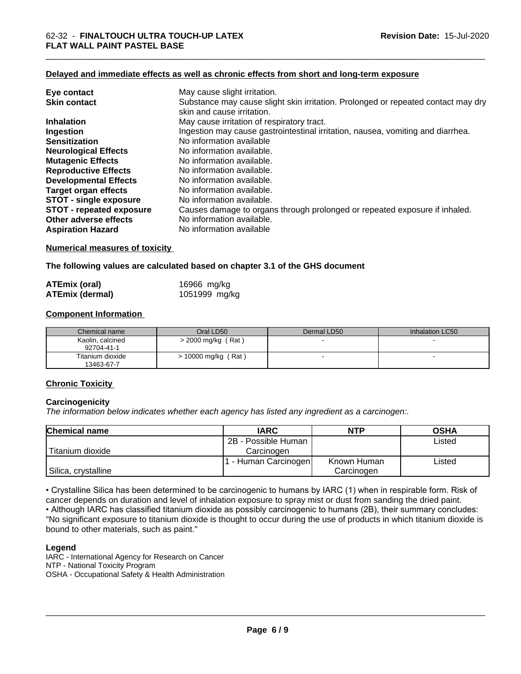# **Delayed and immediate effects as well as chronic effects from short and long-term exposure**

| Eye contact                     | May cause slight irritation.                                                                                    |
|---------------------------------|-----------------------------------------------------------------------------------------------------------------|
| <b>Skin contact</b>             | Substance may cause slight skin irritation. Prolonged or repeated contact may dry<br>skin and cause irritation. |
| <b>Inhalation</b>               | May cause irritation of respiratory tract.                                                                      |
| Ingestion                       | Ingestion may cause gastrointestinal irritation, nausea, vomiting and diarrhea.                                 |
| <b>Sensitization</b>            | No information available                                                                                        |
| <b>Neurological Effects</b>     | No information available.                                                                                       |
| <b>Mutagenic Effects</b>        | No information available.                                                                                       |
| <b>Reproductive Effects</b>     | No information available.                                                                                       |
| <b>Developmental Effects</b>    | No information available.                                                                                       |
| <b>Target organ effects</b>     | No information available.                                                                                       |
| <b>STOT - single exposure</b>   | No information available.                                                                                       |
| <b>STOT - repeated exposure</b> | Causes damage to organs through prolonged or repeated exposure if inhaled.                                      |
| Other adverse effects           | No information available.                                                                                       |
| <b>Aspiration Hazard</b>        | No information available                                                                                        |

# **Numerical measures of toxicity**

# **The following values are calculated based on chapter 3.1 of the GHS document**

| <b>ATEmix (oral)</b>   | 16966 mg/kg   |
|------------------------|---------------|
| <b>ATEmix (dermal)</b> | 1051999 mg/kg |

# **Component Information**

| Chemical name                  | Oral LD50           | Dermal LD50 | Inhalation LC50 |
|--------------------------------|---------------------|-------------|-----------------|
| Kaolin, calcined<br>92704-41-1 | > 2000 mg/kg (Rat)  |             |                 |
| Titanium dioxide<br>13463-67-7 | > 10000 mg/kg (Rat) |             |                 |

# **Chronic Toxicity**

# **Carcinogenicity**

*The information below indicateswhether each agency has listed any ingredient as a carcinogen:.*

| <b>Chemical name</b> | <b>IARC</b>         | <b>NTP</b>  | <b>OSHA</b> |
|----------------------|---------------------|-------------|-------------|
|                      | 2B - Possible Human |             | Listed      |
| Titanium dioxide     | Carcinogen          |             |             |
|                      | - Human Carcinogen  | Known Human | Listed      |
| Silica, crystalline  |                     | Carcinogen  |             |

• Crystalline Silica has been determined to be carcinogenic to humans by IARC (1) when in respirable form. Risk of cancer depends on duration and level of inhalation exposure to spray mist or dust from sanding the dried paint.• Although IARC has classified titanium dioxide as possibly carcinogenic to humans (2B), their summary concludes: "No significant exposure to titanium dioxide is thought to occur during the use of products in which titanium dioxide is bound to other materials, such as paint."

#### **Legend**

IARC - International Agency for Research on Cancer NTP - National Toxicity Program OSHA - Occupational Safety & Health Administration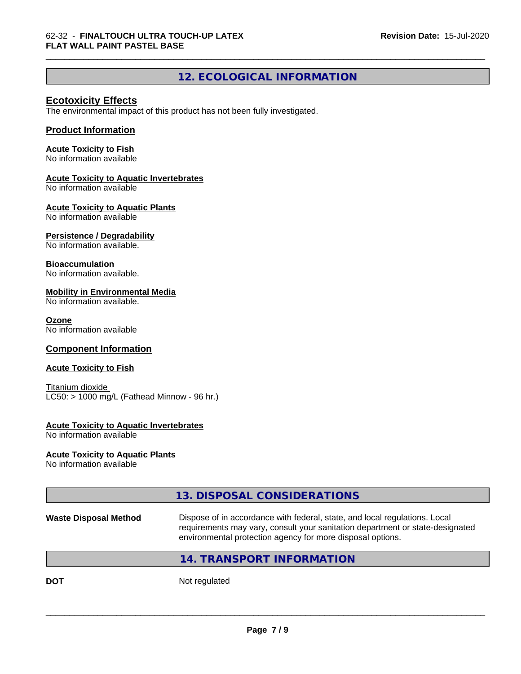# **12. ECOLOGICAL INFORMATION**

\_\_\_\_\_\_\_\_\_\_\_\_\_\_\_\_\_\_\_\_\_\_\_\_\_\_\_\_\_\_\_\_\_\_\_\_\_\_\_\_\_\_\_\_\_\_\_\_\_\_\_\_\_\_\_\_\_\_\_\_\_\_\_\_\_\_\_\_\_\_\_\_\_\_\_\_\_\_\_\_\_\_\_\_\_\_\_\_\_\_\_\_\_

# **Ecotoxicity Effects**

The environmental impact of this product has not been fully investigated.

# **Product Information**

# **Acute Toxicity to Fish**

No information available

### **Acute Toxicity to Aquatic Invertebrates**

No information available

### **Acute Toxicity to Aquatic Plants**

No information available

# **Persistence / Degradability**

No information available.

### **Bioaccumulation**

No information available.

### **Mobility in Environmental Media**

No information available.

#### **Ozone**

No information available

# **Component Information**

# **Acute Toxicity to Fish**

Titanium dioxide  $LC50:$  > 1000 mg/L (Fathead Minnow - 96 hr.)

# **Acute Toxicity to Aquatic Invertebrates**

No information available

# **Acute Toxicity to Aquatic Plants**

No information available

# **13. DISPOSAL CONSIDERATIONS**

**Waste Disposal Method** Dispose of in accordance with federal, state, and local regulations. Local requirements may vary, consult your sanitation department or state-designated environmental protection agency for more disposal options.

 $\overline{\phantom{a}}$  ,  $\overline{\phantom{a}}$  ,  $\overline{\phantom{a}}$  ,  $\overline{\phantom{a}}$  ,  $\overline{\phantom{a}}$  ,  $\overline{\phantom{a}}$  ,  $\overline{\phantom{a}}$  ,  $\overline{\phantom{a}}$  ,  $\overline{\phantom{a}}$  ,  $\overline{\phantom{a}}$  ,  $\overline{\phantom{a}}$  ,  $\overline{\phantom{a}}$  ,  $\overline{\phantom{a}}$  ,  $\overline{\phantom{a}}$  ,  $\overline{\phantom{a}}$  ,  $\overline{\phantom{a}}$ 

# **14. TRANSPORT INFORMATION**

**DOT** Not regulated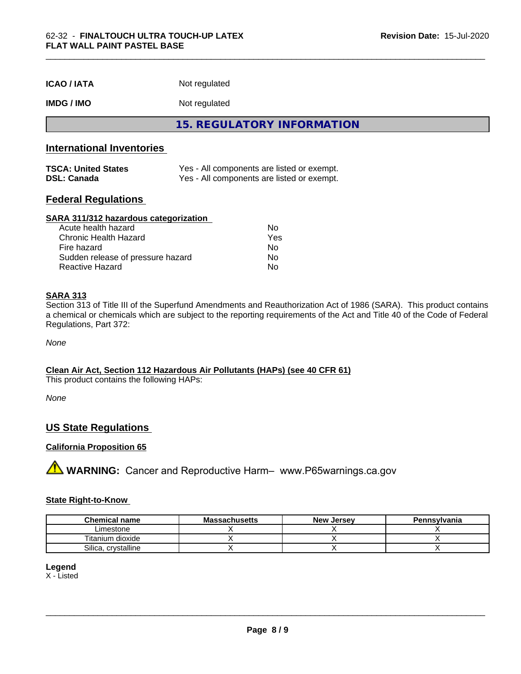| <b>ICAO / IATA</b> | Not regulated |
|--------------------|---------------|
|--------------------|---------------|

# **IMDG / IMO** Not regulated

**15. REGULATORY INFORMATION**

# **International Inventories**

| <b>TSCA: United States</b> | Yes - All components are listed or exempt. |
|----------------------------|--------------------------------------------|
| <b>DSL: Canada</b>         | Yes - All components are listed or exempt. |

# **Federal Regulations**

#### **SARA 311/312 hazardous categorization**

| Acute health hazard               | N٥  |
|-----------------------------------|-----|
| Chronic Health Hazard             | Yes |
| Fire hazard                       | Nο  |
| Sudden release of pressure hazard | Nο  |
| Reactive Hazard                   | N٥  |

# **SARA 313**

Section 313 of Title III of the Superfund Amendments and Reauthorization Act of 1986 (SARA). This product contains a chemical or chemicals which are subject to the reporting requirements of the Act and Title 40 of the Code of Federal Regulations, Part 372:

*None*

# **Clean Air Act,Section 112 Hazardous Air Pollutants (HAPs) (see 40 CFR 61)**

This product contains the following HAPs:

*None*

# **US State Regulations**

# **California Proposition 65**

**A** WARNING: Cancer and Reproductive Harm– www.P65warnings.ca.gov

#### **State Right-to-Know**

| <b>Chemical name</b>         | ıssachusetts<br>uvice: | <b>New</b><br>, Jersev | Pennsylvania |
|------------------------------|------------------------|------------------------|--------------|
| Limestone                    |                        |                        |              |
| $\cdots$<br>Fitanium dioxide |                        |                        |              |
| Silica<br>crystalline        |                        |                        |              |

# **Legend**

X - Listed